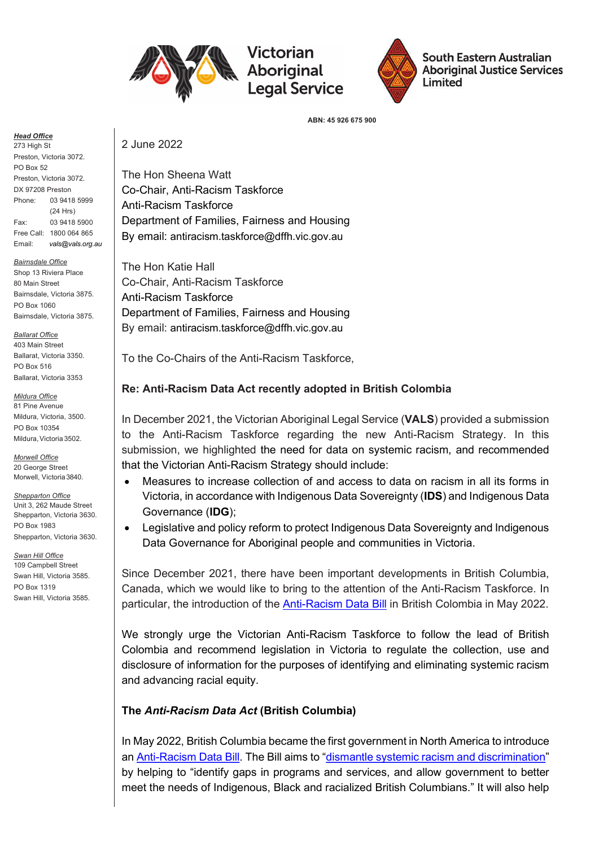

# Victorian **Aboriginal**



South Eastern Australian **Aboriginal Justice Services** Limited

ABN: 45 926 675 900

Head Office

273 High St Preston, Victoria 3072. PO Box 52 Preston, Victoria 3072. DX 97208 Preston Phone: 03 9418 5999 (24 Hrs) Fax: 03 9418 5900 Free Call: 1800 064 865 Email: vals@vals.org.au

**Bairnsdale Office** Shop 13 Riviera Place 80 Main Street Bairnsdale, Victoria 3875. PO Box 1060 Bairnsdale, Victoria 3875.

**Ballarat Office** 

403 Main Street Ballarat, Victoria 3350. PO Box 516 Ballarat, Victoria 3353

Mildura Office 81 Pine Avenue Mildura, Victoria, 3500. PO Box 10354 Mildura, Victoria 3502.

Morwell Office 20 George Street Morwell, Victoria 3840.

**Shepparton Office** Unit 3, 262 Maude Street Shepparton, Victoria 3630. PO Box 1983 Shepparton, Victoria 3630.

Swan Hill Office 109 Campbell Street Swan Hill, Victoria 3585. PO Box 1319 Swan Hill, Victoria 3585. 2 June 2022

The Hon Sheena Watt Co-Chair, Anti-Racism Taskforce Anti-Racism Taskforce Department of Families, Fairness and Housing By email: antiracism.taskforce@dffh.vic.gov.au

The Hon Katie Hall Co-Chair, Anti-Racism Taskforce Anti-Racism Taskforce Department of Families, Fairness and Housing By email: antiracism.taskforce@dffh.vic.gov.au

To the Co-Chairs of the Anti-Racism Taskforce,

## Re: Anti-Racism Data Act recently adopted in British Colombia

In December 2021, the Victorian Aboriginal Legal Service (VALS) provided a submission to the Anti-Racism Taskforce regarding the new Anti-Racism Strategy. In this submission, we highlighted the need for data on systemic racism, and recommended that the Victorian Anti-Racism Strategy should include:

- Measures to increase collection of and access to data on racism in all its forms in Victoria, in accordance with Indigenous Data Sovereignty (IDS) and Indigenous Data Governance (IDG);
- Legislative and policy reform to protect Indigenous Data Sovereignty and Indigenous Data Governance for Aboriginal people and communities in Victoria.

Since December 2021, there have been important developments in British Columbia, Canada, which we would like to bring to the attention of the Anti-Racism Taskforce. In particular, the introduction of the Anti-Racism Data Bill in British Colombia in May 2022.

We strongly urge the Victorian Anti-Racism Taskforce to follow the lead of British Colombia and recommend legislation in Victoria to regulate the collection, use and disclosure of information for the purposes of identifying and eliminating systemic racism and advancing racial equity.

## The Anti-Racism Data Act (British Columbia)

In May 2022, British Columbia became the first government in North America to introduce an Anti-Racism Data Bill. The Bill aims to "dismantle systemic racism and discrimination" by helping to "identify gaps in programs and services, and allow government to better meet the needs of Indigenous, Black and racialized British Columbians." It will also help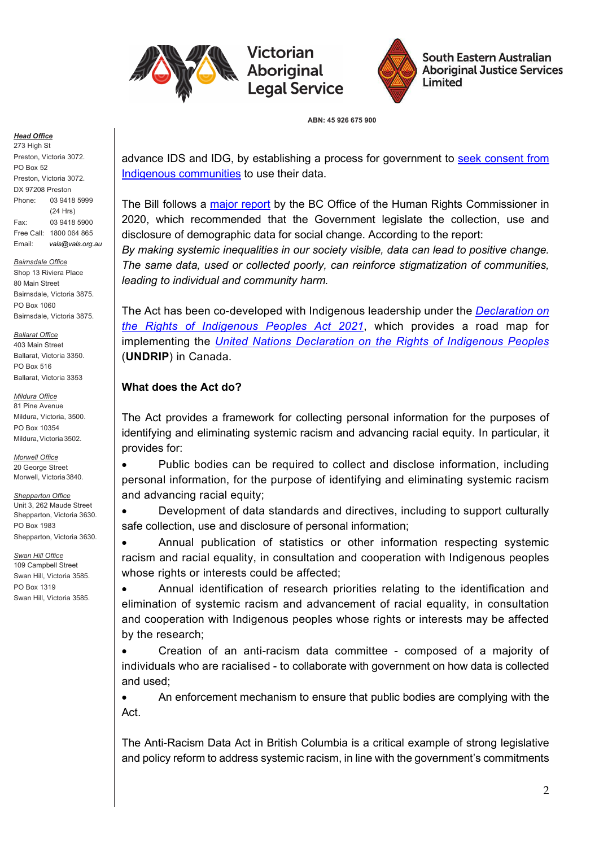

Victorian Aboriginal



South Eastern Australian **Aboriginal Justice Services** Limited

ABN: 45 926 675 900

#### Head Office

273 High St Preston, Victoria 3072. PO Box 52 Preston, Victoria 3072. DX 97208 Preston Phone: 03 9418 5999 (24 Hrs) Fax: 03 9418 5900 Free Call: 1800 064 865 Email: vals@vals.org.au

**Bairnsdale Office** Shop 13 Riviera Place 80 Main Street Bairnsdale, Victoria 3875. PO Box 1060 Bairnsdale, Victoria 3875.

**Ballarat Office** 

403 Main Street Ballarat, Victoria 3350. PO Box 516 Ballarat, Victoria 3353

Mildura Office 81 Pine Avenue Mildura, Victoria, 3500. PO Box 10354 Mildura, Victoria 3502.

Morwell Office 20 George Street Morwell, Victoria 3840.

**Shepparton Office** Unit 3, 262 Maude Street Shepparton, Victoria 3630. PO Box 1983 Shepparton, Victoria 3630.

Swan Hill Office 109 Campbell Street Swan Hill, Victoria 3585. PO Box 1319 Swan Hill, Victoria 3585. advance IDS and IDG, by establishing a process for government to seek consent from Indigenous communities to use their data.

The Bill follows a major report by the BC Office of the Human Rights Commissioner in 2020, which recommended that the Government legislate the collection, use and disclosure of demographic data for social change. According to the report:

By making systemic inequalities in our society visible, data can lead to positive change. The same data, used or collected poorly, can reinforce stigmatization of communities, leading to individual and community harm.

The Act has been co-developed with Indigenous leadership under the *Declaration on* the Rights of Indigenous Peoples Act 2021, which provides a road map for implementing the United Nations Declaration on the Rights of Indigenous Peoples (UNDRIP) in Canada.

### What does the Act do?

The Act provides a framework for collecting personal information for the purposes of identifying and eliminating systemic racism and advancing racial equity. In particular, it provides for:

• Public bodies can be required to collect and disclose information, including personal information, for the purpose of identifying and eliminating systemic racism and advancing racial equity;

 Development of data standards and directives, including to support culturally safe collection, use and disclosure of personal information;

 Annual publication of statistics or other information respecting systemic racism and racial equality, in consultation and cooperation with Indigenous peoples whose rights or interests could be affected:

 Annual identification of research priorities relating to the identification and elimination of systemic racism and advancement of racial equality, in consultation and cooperation with Indigenous peoples whose rights or interests may be affected by the research;

 Creation of an anti-racism data committee - composed of a majority of individuals who are racialised - to collaborate with government on how data is collected and used;

 An enforcement mechanism to ensure that public bodies are complying with the Act.

The Anti-Racism Data Act in British Columbia is a critical example of strong legislative and policy reform to address systemic racism, in line with the government's commitments